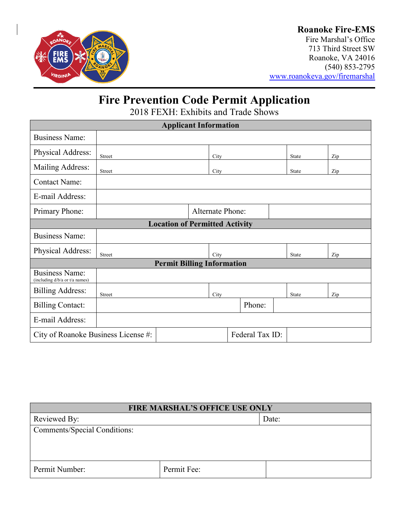

## **Roanoke Fire-EMS**

Fire Marshal's Office 713 Third Street SW Roanoke, VA 24016 (540) 853-2795 [www.roanokeva.gov/firemarshal](http://www.roanokeva.gov/firemarshal)

# **Fire Prevention Code Permit Application**

2018 FEXH: Exhibits and Trade Shows

| <b>Applicant Information</b>                            |               |  |                         |        |  |       |       |     |  |
|---------------------------------------------------------|---------------|--|-------------------------|--------|--|-------|-------|-----|--|
| <b>Business Name:</b>                                   |               |  |                         |        |  |       |       |     |  |
| Physical Address:                                       | Street        |  | City                    |        |  |       | State | Zip |  |
| Mailing Address:                                        | Street        |  | City                    |        |  | State | Zip   |     |  |
| <b>Contact Name:</b>                                    |               |  |                         |        |  |       |       |     |  |
| E-mail Address:                                         |               |  |                         |        |  |       |       |     |  |
| Primary Phone:                                          |               |  | <b>Alternate Phone:</b> |        |  |       |       |     |  |
| <b>Location of Permitted Activity</b>                   |               |  |                         |        |  |       |       |     |  |
| <b>Business Name:</b>                                   |               |  |                         |        |  |       |       |     |  |
| Physical Address:                                       | <b>Street</b> |  | City                    |        |  | State | Zip   |     |  |
| <b>Permit Billing Information</b>                       |               |  |                         |        |  |       |       |     |  |
| <b>Business Name:</b><br>(including d/b/a or t/a names) |               |  |                         |        |  |       |       |     |  |
| <b>Billing Address:</b>                                 | Street        |  | City                    |        |  | State | Zip   |     |  |
| <b>Billing Contact:</b>                                 |               |  |                         | Phone: |  |       |       |     |  |
| E-mail Address:                                         |               |  |                         |        |  |       |       |     |  |
| Federal Tax ID:<br>City of Roanoke Business License #:  |               |  |                         |        |  |       |       |     |  |

| <b>FIRE MARSHAL'S OFFICE USE ONLY</b> |             |  |  |  |
|---------------------------------------|-------------|--|--|--|
| Reviewed By:                          | Date:       |  |  |  |
| <b>Comments/Special Conditions:</b>   |             |  |  |  |
|                                       |             |  |  |  |
|                                       |             |  |  |  |
|                                       |             |  |  |  |
| Permit Number:                        | Permit Fee: |  |  |  |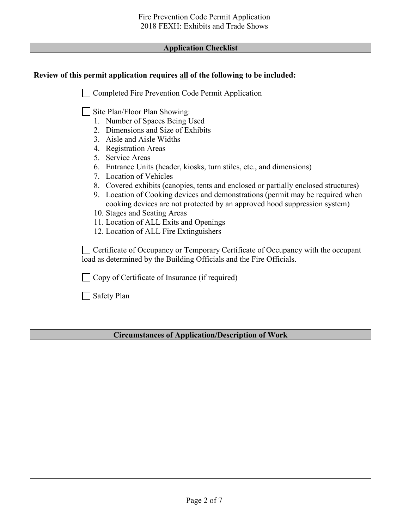| <b>Application Checklist</b> |  |
|------------------------------|--|
|------------------------------|--|

Г

| Review of this permit application requires all of the following to be included:                                                                                                                                                                                                                                                                                                                                                                                                                                                                                                                                                                               |
|---------------------------------------------------------------------------------------------------------------------------------------------------------------------------------------------------------------------------------------------------------------------------------------------------------------------------------------------------------------------------------------------------------------------------------------------------------------------------------------------------------------------------------------------------------------------------------------------------------------------------------------------------------------|
| Completed Fire Prevention Code Permit Application                                                                                                                                                                                                                                                                                                                                                                                                                                                                                                                                                                                                             |
| Site Plan/Floor Plan Showing:<br>1. Number of Spaces Being Used<br>2. Dimensions and Size of Exhibits<br>3. Aisle and Aisle Widths<br>4. Registration Areas<br>5. Service Areas<br>6. Entrance Units (header, kiosks, turn stiles, etc., and dimensions)<br>7. Location of Vehicles<br>8. Covered exhibits (canopies, tents and enclosed or partially enclosed structures)<br>9. Location of Cooking devices and demonstrations (permit may be required when<br>cooking devices are not protected by an approved hood suppression system)<br>10. Stages and Seating Areas<br>11. Location of ALL Exits and Openings<br>12. Location of ALL Fire Extinguishers |
| Certificate of Occupancy or Temporary Certificate of Occupancy with the occupant<br>load as determined by the Building Officials and the Fire Officials.                                                                                                                                                                                                                                                                                                                                                                                                                                                                                                      |
| Copy of Certificate of Insurance (if required)                                                                                                                                                                                                                                                                                                                                                                                                                                                                                                                                                                                                                |
| Safety Plan                                                                                                                                                                                                                                                                                                                                                                                                                                                                                                                                                                                                                                                   |
|                                                                                                                                                                                                                                                                                                                                                                                                                                                                                                                                                                                                                                                               |
|                                                                                                                                                                                                                                                                                                                                                                                                                                                                                                                                                                                                                                                               |
| <b>Circumstances of Application/Description of Work</b>                                                                                                                                                                                                                                                                                                                                                                                                                                                                                                                                                                                                       |
|                                                                                                                                                                                                                                                                                                                                                                                                                                                                                                                                                                                                                                                               |
|                                                                                                                                                                                                                                                                                                                                                                                                                                                                                                                                                                                                                                                               |
|                                                                                                                                                                                                                                                                                                                                                                                                                                                                                                                                                                                                                                                               |
|                                                                                                                                                                                                                                                                                                                                                                                                                                                                                                                                                                                                                                                               |
|                                                                                                                                                                                                                                                                                                                                                                                                                                                                                                                                                                                                                                                               |
|                                                                                                                                                                                                                                                                                                                                                                                                                                                                                                                                                                                                                                                               |
|                                                                                                                                                                                                                                                                                                                                                                                                                                                                                                                                                                                                                                                               |
|                                                                                                                                                                                                                                                                                                                                                                                                                                                                                                                                                                                                                                                               |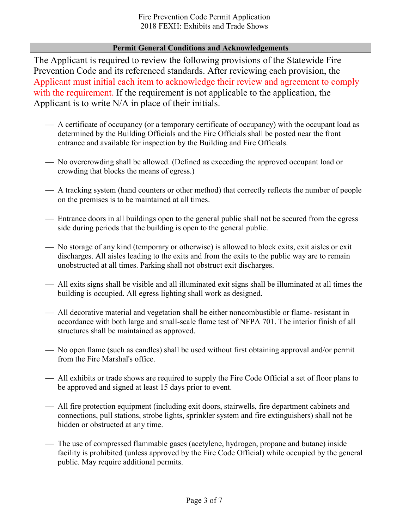#### **Permit General Conditions and Acknowledgements**

The Applicant is required to review the following provisions of the Statewide Fire Prevention Code and its referenced standards. After reviewing each provision, the Applicant must initial each item to acknowledge their review and agreement to comply with the requirement. If the requirement is not applicable to the application, the Applicant is to write N/A in place of their initials.

- A certificate of occupancy (or a temporary certificate of occupancy) with the occupant load as determined by the Building Officials and the Fire Officials shall be posted near the front entrance and available for inspection by the Building and Fire Officials.
- No overcrowding shall be allowed. (Defined as exceeding the approved occupant load or crowding that blocks the means of egress.)
- A tracking system (hand counters or other method) that correctly reflects the number of people on the premises is to be maintained at all times.
- Entrance doors in all buildings open to the general public shall not be secured from the egress side during periods that the building is open to the general public.
- No storage of any kind (temporary or otherwise) is allowed to block exits, exit aisles or exit discharges. All aisles leading to the exits and from the exits to the public way are to remain unobstructed at all times. Parking shall not obstruct exit discharges.
- All exits signs shall be visible and all illuminated exit signs shall be illuminated at all times the building is occupied. All egress lighting shall work as designed.
- All decorative material and vegetation shall be either noncombustible or flame- resistant in accordance with both large and small-scale flame test of NFPA 701. The interior finish of all structures shall be maintained as approved.
- No open flame (such as candles) shall be used without first obtaining approval and/or permit from the Fire Marshal's office.
- All exhibits or trade shows are required to supply the Fire Code Official a set of floor plans to be approved and signed at least 15 days prior to event.
- All fire protection equipment (including exit doors, stairwells, fire department cabinets and connections, pull stations, strobe lights, sprinkler system and fire extinguishers) shall not be hidden or obstructed at any time.
- The use of compressed flammable gases (acetylene, hydrogen, propane and butane) inside facility is prohibited (unless approved by the Fire Code Official) while occupied by the general public. May require additional permits.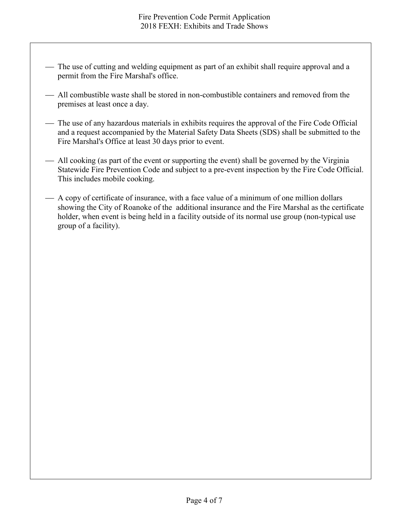- The use of cutting and welding equipment as part of an exhibit shall require approval and a permit from the Fire Marshal's office.
- All combustible waste shall be stored in non-combustible containers and removed from the premises at least once a day.
- The use of any hazardous materials in exhibits requires the approval of the Fire Code Official and a request accompanied by the Material Safety Data Sheets (SDS) shall be submitted to the Fire Marshal's Office at least 30 days prior to event.
- All cooking (as part of the event or supporting the event) shall be governed by the Virginia Statewide Fire Prevention Code and subject to a pre-event inspection by the Fire Code Official. This includes mobile cooking.
- A copy of certificate of insurance, with a face value of a minimum of one million dollars showing the City of Roanoke of the additional insurance and the Fire Marshal as the certificate holder, when event is being held in a facility outside of its normal use group (non-typical use group of a facility).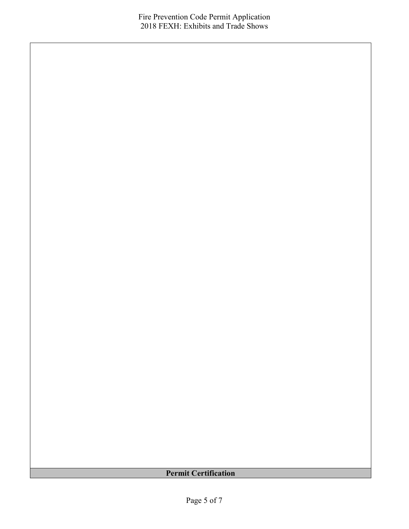## **Permit Certification**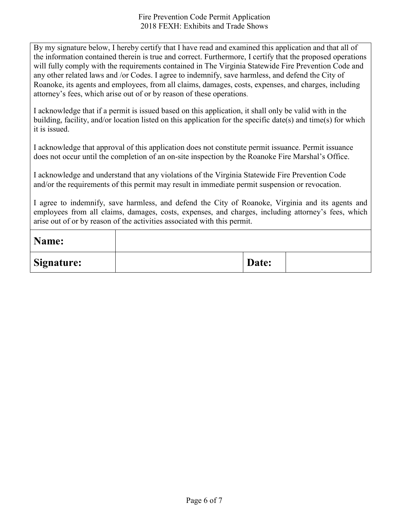By my signature below, I hereby certify that I have read and examined this application and that all of the information contained therein is true and correct. Furthermore, I certify that the proposed operations will fully comply with the requirements contained in The Virginia Statewide Fire Prevention Code and any other related laws and /or Codes. I agree to indemnify, save harmless, and defend the City of Roanoke, its agents and employees, from all claims, damages, costs, expenses, and charges, including attorney's fees, which arise out of or by reason of these operations.

I acknowledge that if a permit is issued based on this application, it shall only be valid with in the building, facility, and/or location listed on this application for the specific date(s) and time(s) for which it is issued.

I acknowledge that approval of this application does not constitute permit issuance. Permit issuance does not occur until the completion of an on-site inspection by the Roanoke Fire Marshal's Office.

I acknowledge and understand that any violations of the Virginia Statewide Fire Prevention Code and/or the requirements of this permit may result in immediate permit suspension or revocation.

I agree to indemnify, save harmless, and defend the City of Roanoke, Virginia and its agents and employees from all claims, damages, costs, expenses, and charges, including attorney's fees, which arise out of or by reason of the activities associated with this permit.

| Name:             |       |  |
|-------------------|-------|--|
| <b>Signature:</b> | Date: |  |